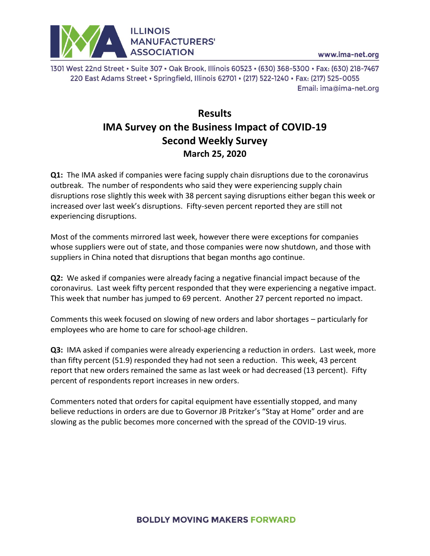

www.ima-net.org

1301 West 22nd Street • Suite 307 • Oak Brook, Illinois 60523 • (630) 368-5300 • Fax: (630) 218-7467 220 East Adams Street · Springfield, Illinois 62701 · (217) 522-1240 · Fax: (217) 525-0055 Email: ima@ima-net.org

## **Results IMA Survey on the Business Impact of COVID-19 Second Weekly Survey March 25, 2020**

**Q1:** The IMA asked if companies were facing supply chain disruptions due to the coronavirus outbreak. The number of respondents who said they were experiencing supply chain disruptions rose slightly this week with 38 percent saying disruptions either began this week or increased over last week's disruptions. Fifty-seven percent reported they are still not experiencing disruptions.

Most of the comments mirrored last week, however there were exceptions for companies whose suppliers were out of state, and those companies were now shutdown, and those with suppliers in China noted that disruptions that began months ago continue.

**Q2:** We asked if companies were already facing a negative financial impact because of the coronavirus. Last week fifty percent responded that they were experiencing a negative impact. This week that number has jumped to 69 percent. Another 27 percent reported no impact.

Comments this week focused on slowing of new orders and labor shortages – particularly for employees who are home to care for school-age children.

**Q3:** IMA asked if companies were already experiencing a reduction in orders. Last week, more than fifty percent (51.9) responded they had not seen a reduction. This week, 43 percent report that new orders remained the same as last week or had decreased (13 percent). Fifty percent of respondents report increases in new orders.

Commenters noted that orders for capital equipment have essentially stopped, and many believe reductions in orders are due to Governor JB Pritzker's "Stay at Home" order and are slowing as the public becomes more concerned with the spread of the COVID-19 virus.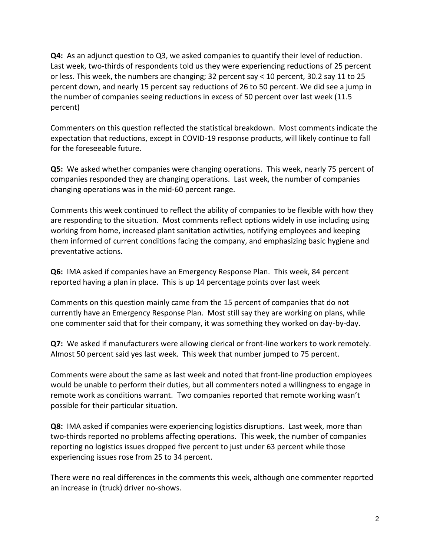**Q4:** As an adjunct question to Q3, we asked companies to quantify their level of reduction. Last week, two-thirds of respondents told us they were experiencing reductions of 25 percent or less. This week, the numbers are changing; 32 percent say < 10 percent, 30.2 say 11 to 25 percent down, and nearly 15 percent say reductions of 26 to 50 percent. We did see a jump in the number of companies seeing reductions in excess of 50 percent over last week (11.5 percent)

Commenters on this question reflected the statistical breakdown. Most comments indicate the expectation that reductions, except in COVID-19 response products, will likely continue to fall for the foreseeable future.

**Q5:** We asked whether companies were changing operations. This week, nearly 75 percent of companies responded they are changing operations. Last week, the number of companies changing operations was in the mid-60 percent range.

Comments this week continued to reflect the ability of companies to be flexible with how they are responding to the situation. Most comments reflect options widely in use including using working from home, increased plant sanitation activities, notifying employees and keeping them informed of current conditions facing the company, and emphasizing basic hygiene and preventative actions.

**Q6:** IMA asked if companies have an Emergency Response Plan. This week, 84 percent reported having a plan in place. This is up 14 percentage points over last week

Comments on this question mainly came from the 15 percent of companies that do not currently have an Emergency Response Plan. Most still say they are working on plans, while one commenter said that for their company, it was something they worked on day-by-day.

**Q7:** We asked if manufacturers were allowing clerical or front-line workers to work remotely. Almost 50 percent said yes last week. This week that number jumped to 75 percent.

Comments were about the same as last week and noted that front-line production employees would be unable to perform their duties, but all commenters noted a willingness to engage in remote work as conditions warrant. Two companies reported that remote working wasn't possible for their particular situation.

**Q8:** IMA asked if companies were experiencing logistics disruptions. Last week, more than two-thirds reported no problems affecting operations. This week, the number of companies reporting no logistics issues dropped five percent to just under 63 percent while those experiencing issues rose from 25 to 34 percent.

There were no real differences in the comments this week, although one commenter reported an increase in (truck) driver no-shows.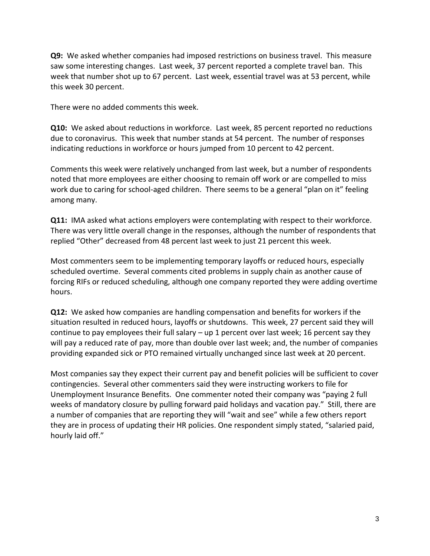**Q9:** We asked whether companies had imposed restrictions on business travel. This measure saw some interesting changes. Last week, 37 percent reported a complete travel ban. This week that number shot up to 67 percent. Last week, essential travel was at 53 percent, while this week 30 percent.

There were no added comments this week.

**Q10:** We asked about reductions in workforce. Last week, 85 percent reported no reductions due to coronavirus. This week that number stands at 54 percent. The number of responses indicating reductions in workforce or hours jumped from 10 percent to 42 percent.

Comments this week were relatively unchanged from last week, but a number of respondents noted that more employees are either choosing to remain off work or are compelled to miss work due to caring for school-aged children. There seems to be a general "plan on it" feeling among many.

**Q11:** IMA asked what actions employers were contemplating with respect to their workforce. There was very little overall change in the responses, although the number of respondents that replied "Other" decreased from 48 percent last week to just 21 percent this week.

Most commenters seem to be implementing temporary layoffs or reduced hours, especially scheduled overtime. Several comments cited problems in supply chain as another cause of forcing RIFs or reduced scheduling, although one company reported they were adding overtime hours.

**Q12:** We asked how companies are handling compensation and benefits for workers if the situation resulted in reduced hours, layoffs or shutdowns. This week, 27 percent said they will continue to pay employees their full salary  $-$  up 1 percent over last week; 16 percent say they will pay a reduced rate of pay, more than double over last week; and, the number of companies providing expanded sick or PTO remained virtually unchanged since last week at 20 percent.

Most companies say they expect their current pay and benefit policies will be sufficient to cover contingencies. Several other commenters said they were instructing workers to file for Unemployment Insurance Benefits. One commenter noted their company was "paying 2 full weeks of mandatory closure by pulling forward paid holidays and vacation pay." Still, there are a number of companies that are reporting they will "wait and see" while a few others report they are in process of updating their HR policies. One respondent simply stated, "salaried paid, hourly laid off."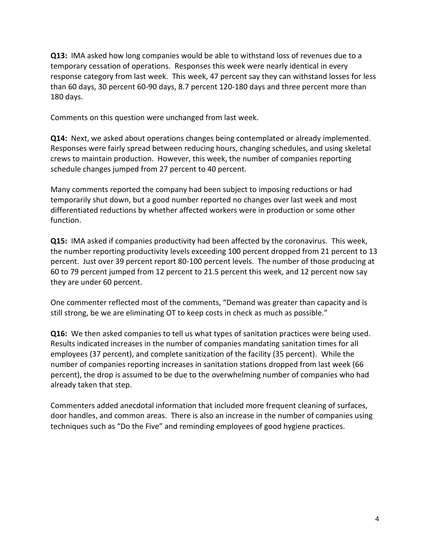**Q13:** IMA asked how long companies would be able to withstand loss of revenues due to a temporary cessation of operations. Responses this week were nearly identical in every response category from last week. This week, 47 percent say they can withstand losses for less than 60 days, 30 percent 60-90 days, 8.7 percent 120-180 days and three percent more than 180 days.

Comments on this question were unchanged from last week.

**Q14:** Next, we asked about operations changes being contemplated or already implemented. Responses were fairly spread between reducing hours, changing schedules, and using skeletal crews to maintain production. However, this week, the number of companies reporting schedule changes jumped from 27 percent to 40 percent.

Many comments reported the company had been subject to imposing reductions or had temporarily shut down, but a good number reported no changes over last week and most differentiated reductions by whether affected workers were in production or some other function.

**Q15:** IMA asked if companies productivity had been affected by the coronavirus. This week, the number reporting productivity levels exceeding 100 percent dropped from 21 percent to 13 percent. Just over 39 percent report 80-100 percent levels. The number of those producing at 60 to 79 percent jumped from 12 percent to 21.5 percent this week, and 12 percent now say they are under 60 percent.

One commenter reflected most of the comments, "Demand was greater than capacity and is still strong, be we are eliminating OT to keep costs in check as much as possible."

**Q16:** We then asked companies to tell us what types of sanitation practices were being used. Results indicated increases in the number of companies mandating sanitation times for all employees (37 percent), and complete sanitization of the facility (35 percent). While the number of companies reporting increases in sanitation stations dropped from last week (66 percent), the drop is assumed to be due to the overwhelming number of companies who had already taken that step.

Commenters added anecdotal information that included more frequent cleaning of surfaces, door handles, and common areas. There is also an increase in the number of companies using techniques such as "Do the Five" and reminding employees of good hygiene practices.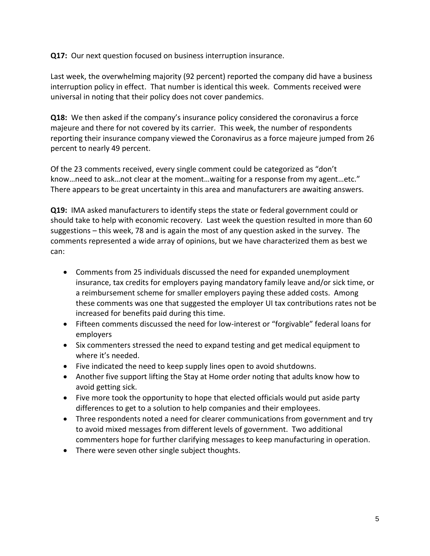**Q17:** Our next question focused on business interruption insurance.

Last week, the overwhelming majority (92 percent) reported the company did have a business interruption policy in effect. That number is identical this week. Comments received were universal in noting that their policy does not cover pandemics.

**Q18:** We then asked if the company's insurance policy considered the coronavirus a force majeure and there for not covered by its carrier. This week, the number of respondents reporting their insurance company viewed the Coronavirus as a force majeure jumped from 26 percent to nearly 49 percent.

Of the 23 comments received, every single comment could be categorized as "don't know…need to ask…not clear at the moment…waiting for a response from my agent…etc." There appears to be great uncertainty in this area and manufacturers are awaiting answers.

**Q19:** IMA asked manufacturers to identify steps the state or federal government could or should take to help with economic recovery. Last week the question resulted in more than 60 suggestions – this week, 78 and is again the most of any question asked in the survey. The comments represented a wide array of opinions, but we have characterized them as best we can:

- Comments from 25 individuals discussed the need for expanded unemployment insurance, tax credits for employers paying mandatory family leave and/or sick time, or a reimbursement scheme for smaller employers paying these added costs. Among these comments was one that suggested the employer UI tax contributions rates not be increased for benefits paid during this time.
- Fifteen comments discussed the need for low-interest or "forgivable" federal loans for employers
- Six commenters stressed the need to expand testing and get medical equipment to where it's needed.
- Five indicated the need to keep supply lines open to avoid shutdowns.
- Another five support lifting the Stay at Home order noting that adults know how to avoid getting sick.
- Five more took the opportunity to hope that elected officials would put aside party differences to get to a solution to help companies and their employees.
- Three respondents noted a need for clearer communications from government and try to avoid mixed messages from different levels of government. Two additional commenters hope for further clarifying messages to keep manufacturing in operation.
- There were seven other single subject thoughts.